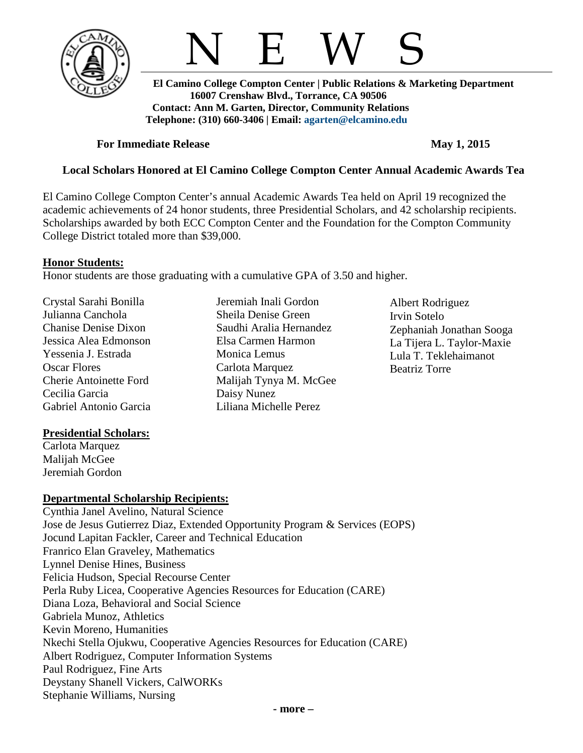

N E W S

 **El Camino College Compton Center | Public Relations & Marketing Department 16007 Crenshaw Blvd., Torrance, CA 90506 Contact: Ann M. Garten, Director, Community Relations Telephone: (310) 660-3406 | Email: [agarten@elcamino.edu](mailto:agarten@elcamino.edu)** 

## **For Immediate Release May** 1, 2015

# **Local Scholars Honored at El Camino College Compton Center Annual Academic Awards Tea**

El Camino College Compton Center's annual Academic Awards Tea held on April 19 recognized the academic achievements of 24 honor students, three Presidential Scholars, and 42 scholarship recipients. Scholarships awarded by both ECC Compton Center and the Foundation for the Compton Community College District totaled more than \$39,000.

## **Honor Students:**

Honor students are those graduating with a cumulative GPA of 3.50 and higher.

Crystal Sarahi Bonilla Julianna Canchola Chanise Denise Dixon Jessica Alea Edmonson Yessenia J. Estrada Oscar Flores Cherie Antoinette Ford Cecilia Garcia Gabriel Antonio Garcia

## **Presidential Scholars:**

Carlota Marquez Malijah McGee Jeremiah Gordon

## **Departmental Scholarship Recipients:**

Cynthia Janel Avelino, Natural Science Jose de Jesus Gutierrez Diaz, Extended Opportunity Program & Services (EOPS) Jocund Lapitan Fackler, Career and Technical Education Franrico Elan Graveley, Mathematics Lynnel Denise Hines, Business Felicia Hudson, Special Recourse Center Perla Ruby Licea, Cooperative Agencies Resources for Education (CARE) Diana Loza, Behavioral and Social Science Gabriela Munoz, Athletics Kevin Moreno, Humanities Nkechi Stella Ojukwu, Cooperative Agencies Resources for Education (CARE) Albert Rodriguez, Computer Information Systems Paul Rodriguez, Fine Arts Deystany Shanell Vickers, CalWORKs Stephanie Williams, Nursing

Jeremiah Inali Gordon Sheila Denise Green Saudhi Aralia Hernandez Elsa Carmen Harmon Monica Lemus Carlota Marquez Malijah Tynya M. McGee Daisy Nunez Liliana Michelle Perez

Albert Rodriguez Irvin Sotelo Zephaniah Jonathan Sooga La Tijera L. Taylor-Maxie Lula T. Teklehaimanot Beatriz Torre